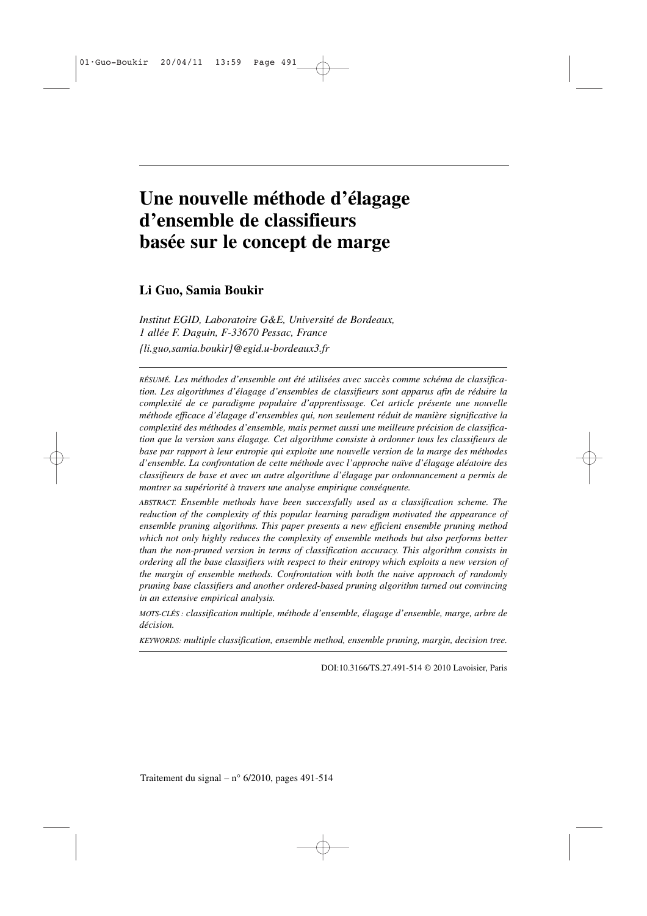# **Une nouvelle méthode d'élagage d'ensemble de classifieurs basée sur le concept de marge**

# **Li Guo, Samia Boukir**

*Institut EGID, Laboratoire G&E, Université de Bordeaux, 1 allée F. Daguin, F-33670 Pessac, France {li.guo,samia.boukir}@egid.u-bordeaux3.fr*

*RÉSUMÉ. Les méthodes d'ensemble ont été utilisées avec succès comme schéma de classification. Les algorithmes d'élagage d'ensembles de classifieurs sont apparus afin de réduire la complexité de ce paradigme populaire d'apprentissage. Cet article présente une nouvelle méthode efficace d'élagage d'ensembles qui, non seulement réduit de manière significative la complexité des méthodes d'ensemble, mais permet aussi une meilleure précision de classification que la version sans élagage. Cet algorithme consiste à ordonner tous les classifieurs de base par rapport à leur entropie qui exploite une nouvelle version de la marge des méthodes d'ensemble. La confrontation de cette méthode avec l'approche naïve d'élagage aléatoire des classifieurs de base et avec un autre algorithme d'élagage par ordonnancement a permis de montrer sa supériorité à travers une analyse empirique conséquente.*

*ABSTRACT. Ensemble methods have been successfully used as a classification scheme. The reduction of the complexity of this popular learning paradigm motivated the appearance of ensemble pruning algorithms. This paper presents a new efficient ensemble pruning method which not only highly reduces the complexity of ensemble methods but also performs better than the non-pruned version in terms of classification accuracy. This algorithm consists in ordering all the base classifiers with respect to their entropy which exploits a new version of the margin of ensemble methods. Confrontation with both the naive approach of randomly pruning base classifiers and another ordered-based pruning algorithm turned out convincing in an extensive empirical analysis.*

*MOTS-CLÉS : classification multiple, méthode d'ensemble, élagage d'ensemble, marge, arbre de décision.*

*KEYWORDS: multiple classification, ensemble method, ensemble pruning, margin, decision tree.*

DOI:10.3166/TS.27.491-514 © 2010 Lavoisier, Paris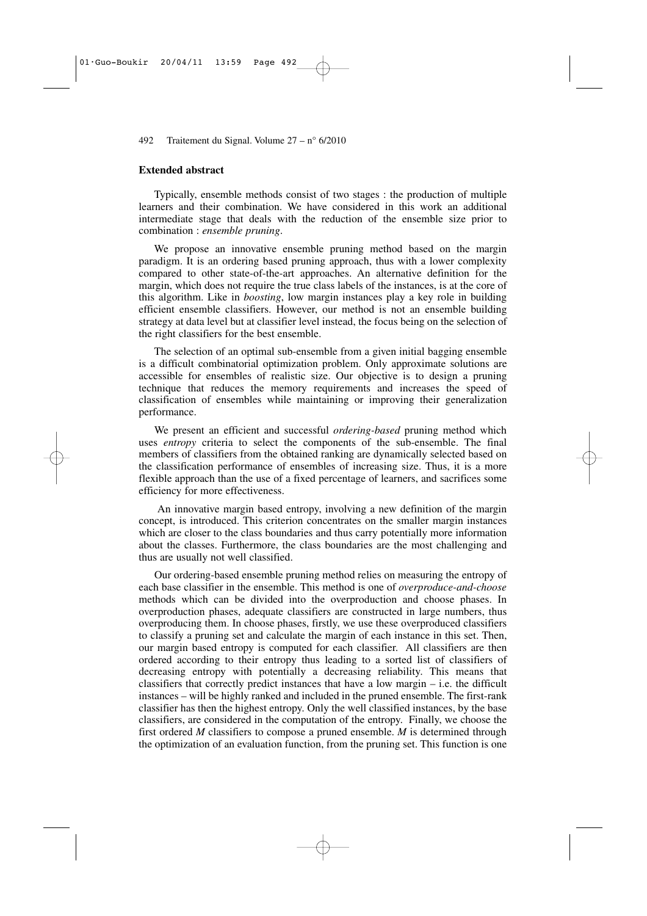#### **Extended abstract**

Typically, ensemble methods consist of two stages : the production of multiple learners and their combination. We have considered in this work an additional intermediate stage that deals with the reduction of the ensemble size prior to combination : *ensemble pruning*.

We propose an innovative ensemble pruning method based on the margin paradigm. It is an ordering based pruning approach, thus with a lower complexity compared to other state-of-the-art approaches. An alternative definition for the margin, which does not require the true class labels of the instances, is at the core of this algorithm. Like in *boosting*, low margin instances play a key role in building efficient ensemble classifiers. However, our method is not an ensemble building strategy at data level but at classifier level instead, the focus being on the selection of the right classifiers for the best ensemble.

The selection of an optimal sub-ensemble from a given initial bagging ensemble is a difficult combinatorial optimization problem. Only approximate solutions are accessible for ensembles of realistic size. Our objective is to design a pruning technique that reduces the memory requirements and increases the speed of classification of ensembles while maintaining or improving their generalization performance.

We present an efficient and successful *ordering-based* pruning method which uses *entropy* criteria to select the components of the sub-ensemble. The final members of classifiers from the obtained ranking are dynamically selected based on the classification performance of ensembles of increasing size. Thus, it is a more flexible approach than the use of a fixed percentage of learners, and sacrifices some efficiency for more effectiveness.

An innovative margin based entropy, involving a new definition of the margin concept, is introduced. This criterion concentrates on the smaller margin instances which are closer to the class boundaries and thus carry potentially more information about the classes. Furthermore, the class boundaries are the most challenging and thus are usually not well classified.

Our ordering-based ensemble pruning method relies on measuring the entropy of each base classifier in the ensemble. This method is one of *overproduce-and-choose* methods which can be divided into the overproduction and choose phases. In overproduction phases, adequate classifiers are constructed in large numbers, thus overproducing them. In choose phases, firstly, we use these overproduced classifiers to classify a pruning set and calculate the margin of each instance in this set. Then, our margin based entropy is computed for each classifier. All classifiers are then ordered according to their entropy thus leading to a sorted list of classifiers of decreasing entropy with potentially a decreasing reliability. This means that classifiers that correctly predict instances that have a low margin – i.e. the difficult instances – will be highly ranked and included in the pruned ensemble. The first-rank classifier has then the highest entropy. Only the well classified instances, by the base classifiers, are considered in the computation of the entropy. Finally, we choose the first ordered *M* classifiers to compose a pruned ensemble. *M* is determined through the optimization of an evaluation function, from the pruning set. This function is one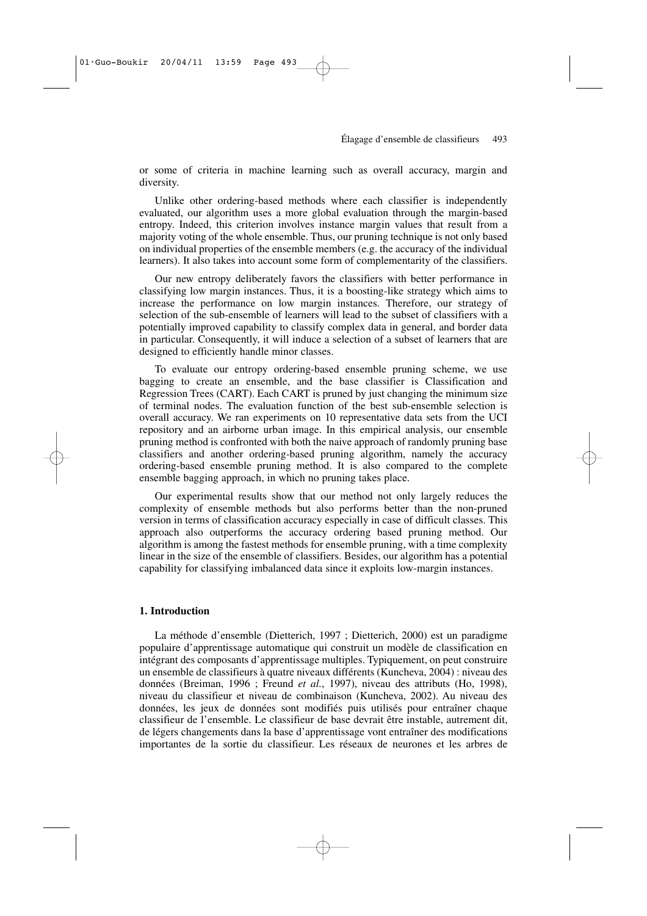or some of criteria in machine learning such as overall accuracy, margin and diversity.

Unlike other ordering-based methods where each classifier is independently evaluated, our algorithm uses a more global evaluation through the margin-based entropy. Indeed, this criterion involves instance margin values that result from a majority voting of the whole ensemble. Thus, our pruning technique is not only based on individual properties of the ensemble members (e.g. the accuracy of the individual learners). It also takes into account some form of complementarity of the classifiers.

Our new entropy deliberately favors the classifiers with better performance in classifying low margin instances. Thus, it is a boosting-like strategy which aims to increase the performance on low margin instances. Therefore, our strategy of selection of the sub-ensemble of learners will lead to the subset of classifiers with a potentially improved capability to classify complex data in general, and border data in particular. Consequently, it will induce a selection of a subset of learners that are designed to efficiently handle minor classes.

To evaluate our entropy ordering-based ensemble pruning scheme, we use bagging to create an ensemble, and the base classifier is Classification and Regression Trees (CART). Each CART is pruned by just changing the minimum size of terminal nodes. The evaluation function of the best sub-ensemble selection is overall accuracy. We ran experiments on 10 representative data sets from the UCI repository and an airborne urban image. In this empirical analysis, our ensemble pruning method is confronted with both the naive approach of randomly pruning base classifiers and another ordering-based pruning algorithm, namely the accuracy ordering-based ensemble pruning method. It is also compared to the complete ensemble bagging approach, in which no pruning takes place.

Our experimental results show that our method not only largely reduces the complexity of ensemble methods but also performs better than the non-pruned version in terms of classification accuracy especially in case of difficult classes. This approach also outperforms the accuracy ordering based pruning method. Our algorithm is among the fastest methods for ensemble pruning, with a time complexity linear in the size of the ensemble of classifiers. Besides, our algorithm has a potential capability for classifying imbalanced data since it exploits low-margin instances.

#### **1. Introduction**

La méthode d'ensemble (Dietterich, 1997 ; Dietterich, 2000) est un paradigme populaire d'apprentissage automatique qui construit un modèle de classification en intégrant des composants d'apprentissage multiples. Typiquement, on peut construire un ensemble de classifieurs à quatre niveaux différents (Kuncheva, 2004) : niveau des données (Breiman, 1996 ; Freund *et al.*, 1997), niveau des attributs (Ho, 1998), niveau du classifieur et niveau de combinaison (Kuncheva, 2002). Au niveau des données, les jeux de données sont modifiés puis utilisés pour entraîner chaque classifieur de l'ensemble. Le classifieur de base devrait être instable, autrement dit, de légers changements dans la base d'apprentissage vont entraîner des modifications importantes de la sortie du classifieur. Les réseaux de neurones et les arbres de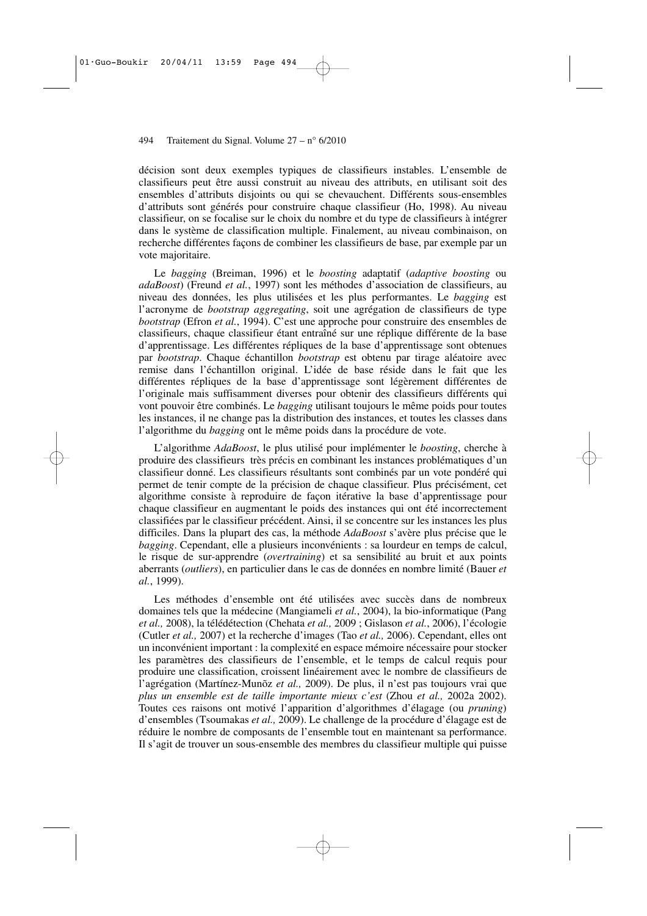décision sont deux exemples typiques de classifieurs instables. L'ensemble de classifieurs peut être aussi construit au niveau des attributs, en utilisant soit des ensembles d'attributs disjoints ou qui se chevauchent. Différents sous-ensembles d'attributs sont générés pour construire chaque classifieur (Ho, 1998). Au niveau classifieur, on se focalise sur le choix du nombre et du type de classifieurs à intégrer dans le système de classification multiple. Finalement, au niveau combinaison, on recherche différentes façons de combiner les classifieurs de base, par exemple par un vote majoritaire.

Le *bagging* (Breiman, 1996) et le *boosting* adaptatif (*adaptive boosting* ou *adaBoost*) (Freund *et al.*, 1997) sont les méthodes d'association de classifieurs, au niveau des données, les plus utilisées et les plus performantes. Le *bagging* est l'acronyme de *bootstrap aggregating*, soit une agrégation de classifieurs de type *bootstrap* (Efron *et al.*, 1994). C'est une approche pour construire des ensembles de classifieurs, chaque classifieur étant entraîné sur une réplique différente de la base d'apprentissage. Les différentes répliques de la base d'apprentissage sont obtenues par *bootstrap*. Chaque échantillon *bootstrap* est obtenu par tirage aléatoire avec remise dans l'échantillon original. L'idée de base réside dans le fait que les différentes répliques de la base d'apprentissage sont légèrement différentes de l'originale mais suffisamment diverses pour obtenir des classifieurs différents qui vont pouvoir être combinés. Le *bagging* utilisant toujours le même poids pour toutes les instances, il ne change pas la distribution des instances, et toutes les classes dans l'algorithme du *bagging* ont le même poids dans la procédure de vote.

L'algorithme *AdaBoost*, le plus utilisé pour implémenter le *boosting*, cherche à produire des classifieurs très précis en combinant les instances problématiques d'un classifieur donné. Les classifieurs résultants sont combinés par un vote pondéré qui permet de tenir compte de la précision de chaque classifieur. Plus précisément, cet algorithme consiste à reproduire de façon itérative la base d'apprentissage pour chaque classifieur en augmentant le poids des instances qui ont été incorrectement classifiées par le classifieur précédent. Ainsi, il se concentre sur les instances les plus difficiles. Dans la plupart des cas, la méthode *AdaBoost* s'avère plus précise que le *bagging*. Cependant, elle a plusieurs inconvénients : sa lourdeur en temps de calcul, le risque de sur-apprendre (*overtraining*) et sa sensibilité au bruit et aux points aberrants (*outliers*), en particulier dans le cas de données en nombre limité (Bauer *et al.*, 1999).

Les méthodes d'ensemble ont été utilisées avec succès dans de nombreux domaines tels que la médecine (Mangiameli *et al.*, 2004), la bio-informatique (Pang *et al.,* 2008), la télédétection (Chehata *et al.,* 2009 ; Gislason *et al.*, 2006), l'écologie (Cutler *et al.,* 2007) et la recherche d'images (Tao *et al.,* 2006). Cependant, elles ont un inconvénient important : la complexité en espace mémoire nécessaire pour stocker les paramètres des classifieurs de l'ensemble, et le temps de calcul requis pour produire une classification, croissent linéairement avec le nombre de classifieurs de l'agrégation (Martínez-Munõz *et al.,* 2009). De plus, il n'est pas toujours vrai que *plus un ensemble est de taille importante mieux c'est* (Zhou *et al.,* 2002a 2002). Toutes ces raisons ont motivé l'apparition d'algorithmes d'élagage (ou *pruning*) d'ensembles (Tsoumakas *et al.,* 2009). Le challenge de la procédure d'élagage est de réduire le nombre de composants de l'ensemble tout en maintenant sa performance. Il s'agit de trouver un sous-ensemble des membres du classifieur multiple qui puisse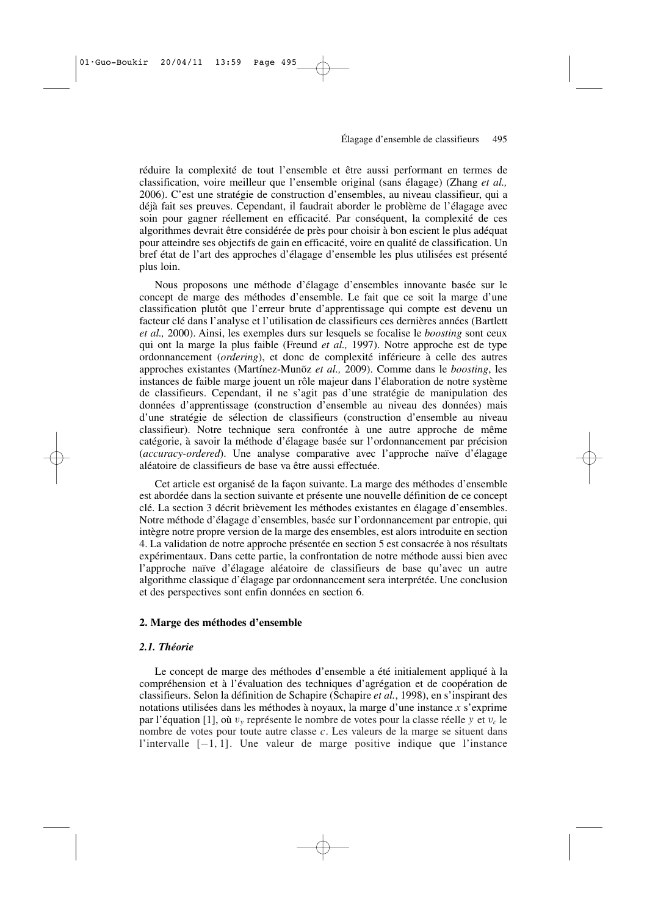réduire la complexité de tout l'ensemble et être aussi performant en termes de classification, voire meilleur que l'ensemble original (sans élagage) (Zhang *et al.,* 2006). C'est une stratégie de construction d'ensembles, au niveau classifieur, qui a déjà fait ses preuves. Cependant, il faudrait aborder le problème de l'élagage avec soin pour gagner réellement en efficacité. Par conséquent, la complexité de ces algorithmes devrait être considérée de près pour choisir à bon escient le plus adéquat pour atteindre ses objectifs de gain en efficacité, voire en qualité de classification. Un bref état de l'art des approches d'élagage d'ensemble les plus utilisées est présenté plus loin.

Nous proposons une méthode d'élagage d'ensembles innovante basée sur le concept de marge des méthodes d'ensemble. Le fait que ce soit la marge d'une classification plutôt que l'erreur brute d'apprentissage qui compte est devenu un facteur clé dans l'analyse et l'utilisation de classifieurs ces dernières années (Bartlett *et al.,* 2000). Ainsi, les exemples durs sur lesquels se focalise le *boosting* sont ceux qui ont la marge la plus faible (Freund *et al.,* 1997). Notre approche est de type ordonnancement (*ordering*), et donc de complexité inférieure à celle des autres approches existantes (Martínez-Munõz *et al.,* 2009). Comme dans le *boosting*, les instances de faible marge jouent un rôle majeur dans l'élaboration de notre système de classifieurs. Cependant, il ne s'agit pas d'une stratégie de manipulation des données d'apprentissage (construction d'ensemble au niveau des données) mais d'une stratégie de sélection de classifieurs (construction d'ensemble au niveau classifieur). Notre technique sera confrontée à une autre approche de même catégorie, à savoir la méthode d'élagage basée sur l'ordonnancement par précision (*accuracy-ordered*). Une analyse comparative avec l'approche naïve d'élagage aléatoire de classifieurs de base va être aussi effectuée.

Cet article est organisé de la façon suivante. La marge des méthodes d'ensemble est abordée dans la section suivante et présente une nouvelle définition de ce concept clé. La section 3 décrit brièvement les méthodes existantes en élagage d'ensembles. Notre méthode d'élagage d'ensembles, basée sur l'ordonnancement par entropie, qui intègre notre propre version de la marge des ensembles, est alors introduite en section 4. La validation de notre approche présentée en section 5 est consacrée à nos résultats expérimentaux. Dans cette partie, la confrontation de notre méthode aussi bien avec l'approche naïve d'élagage aléatoire de classifieurs de base qu'avec un autre algorithme classique d'élagage par ordonnancement sera interprétée. Une conclusion et des perspectives sont enfin données en section 6.

#### **2. Marge des méthodes d'ensemble**

### *2.1. Théorie*

Le concept de marge des méthodes d'ensemble a été initialement appliqué à la compréhension et à l'évaluation des techniques d'agrégation et de coopération de classifieurs. Selon la définition de Schapire (Schapire *et al.*, 1998), en s'inspirant des notations utilisées dans les méthodes à noyaux, la marge d'une instance *x* s'exprime par l'équation [1], où  $v_y$  représente le nombre de votes pour la classe réelle *y* et  $v_c$  le nombre de votes pour toute autre classe *c*. Les valeurs de la marge se situent dans l'intervalle [−1, 1]. Une valeur de marge positive indique que l'instance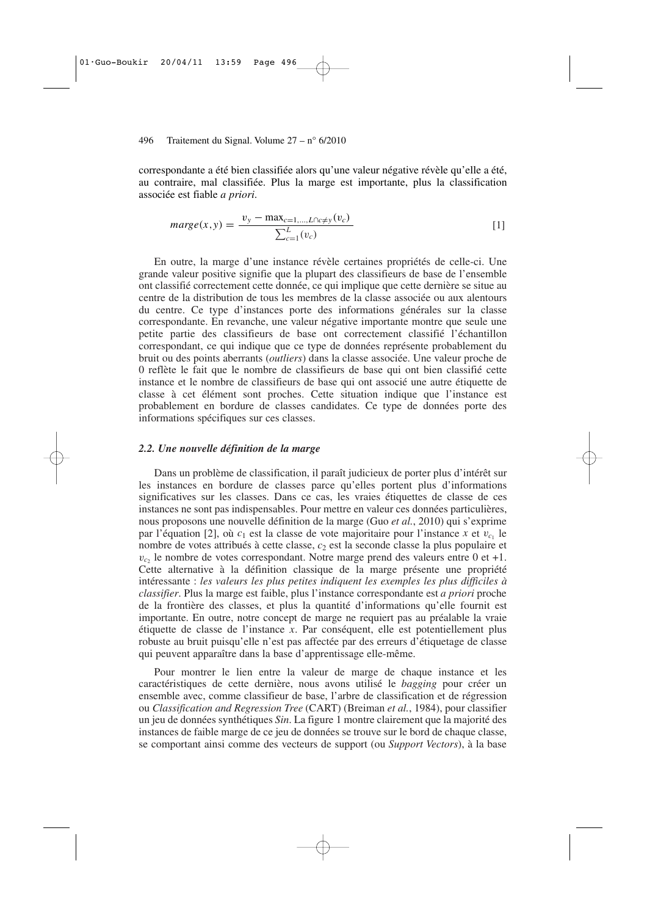correspondante a été bien classifiée alors qu'une valeur négative révèle qu'elle a été, au contraire, mal classifiée. Plus la marge est importante, plus la classification associée est fiable *a priori*.

$$
marge(x, y) = \frac{v_y - \max_{c=1,\dots,L \cap c \neq y}(v_c)}{\sum_{c=1}^{L} (v_c)} \tag{1}
$$

En outre, la marge d'une instance révèle certaines propriétés de celle-ci. Une grande valeur positive signifie que la plupart des classifieurs de base de l'ensemble ont classifié correctement cette donnée, ce qui implique que cette dernière se situe au centre de la distribution de tous les membres de la classe associée ou aux alentours du centre. Ce type d'instances porte des informations générales sur la classe correspondante. En revanche, une valeur négative importante montre que seule une petite partie des classifieurs de base ont correctement classifié l'échantillon correspondant, ce qui indique que ce type de données représente probablement du bruit ou des points aberrants (*outliers*) dans la classe associée. Une valeur proche de 0 reflète le fait que le nombre de classifieurs de base qui ont bien classifié cette instance et le nombre de classifieurs de base qui ont associé une autre étiquette de classe à cet élément sont proches. Cette situation indique que l'instance est probablement en bordure de classes candidates. Ce type de données porte des informations spécifiques sur ces classes.

#### *2.2. Une nouvelle définition de la marge*

Dans un problème de classification, il paraît judicieux de porter plus d'intérêt sur les instances en bordure de classes parce qu'elles portent plus d'informations significatives sur les classes. Dans ce cas, les vraies étiquettes de classe de ces instances ne sont pas indispensables. Pour mettre en valeur ces données particulières, nous proposons une nouvelle définition de la marge (Guo *et al.*, 2010) qui s'exprime par l'équation [2], où  $c_1$  est la classe de vote majoritaire pour l'instance  $x$  et  $v_{c_1}$  le nombre de votes attribués à cette classe, *c*<sup>2</sup> est la seconde classe la plus populaire et  $v_{c_2}$  le nombre de votes correspondant. Notre marge prend des valeurs entre 0 et +1. Cette alternative à la définition classique de la marge présente une propriété intéressante : *les valeurs les plus petites indiquent les exemples les plus difficiles à classifier*. Plus la marge est faible, plus l'instance correspondante est *a priori* proche de la frontière des classes, et plus la quantité d'informations qu'elle fournit est importante. En outre, notre concept de marge ne requiert pas au préalable la vraie étiquette de classe de l'instance *x*. Par conséquent, elle est potentiellement plus robuste au bruit puisqu'elle n'est pas affectée par des erreurs d'étiquetage de classe qui peuvent apparaître dans la base d'apprentissage elle-même.

Pour montrer le lien entre la valeur de marge de chaque instance et les caractéristiques de cette dernière, nous avons utilisé le *bagging* pour créer un ensemble avec, comme classifieur de base, l'arbre de classification et de régression ou *Classification and Regression Tree* (CART) (Breiman *et al.*, 1984), pour classifier un jeu de données synthétiques *Sin*. La figure 1 montre clairement que la majorité des instances de faible marge de ce jeu de données se trouve sur le bord de chaque classe, se comportant ainsi comme des vecteurs de support (ou *Support Vectors*), à la base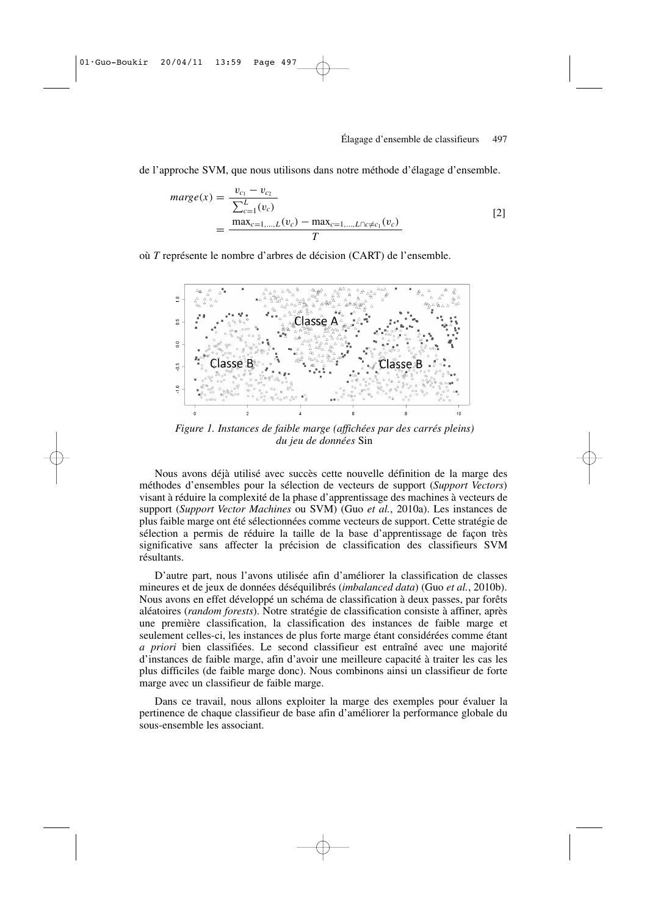de l'approche SVM, que nous utilisons dans notre méthode d'élagage d'ensemble.

$$
marge(x) = \frac{v_{c_1} - v_{c_2}}{\sum_{c=1}^{L} (v_c)} \n= \frac{\max_{c=1,\dots,L}(v_c) - \max_{c=1,\dots,L\cap c \neq c_1}(v_c)}{T}
$$
\n[2]

où *T* représente le nombre d'arbres de décision (CART) de l'ensemble.



*Figure 1. Instances de faible marge (affichées par des carrés pleins) du jeu de données* Sin

Nous avons déjà utilisé avec succès cette nouvelle définition de la marge des méthodes d'ensembles pour la sélection de vecteurs de support (*Support Vectors*) visant à réduire la complexité de la phase d'apprentissage des machines à vecteurs de support (*Support Vector Machines* ou SVM) (Guo *et al.*, 2010a). Les instances de plus faible marge ont été sélectionnées comme vecteurs de support. Cette stratégie de sélection a permis de réduire la taille de la base d'apprentissage de façon très significative sans affecter la précision de classification des classifieurs SVM résultants.

D'autre part, nous l'avons utilisée afin d'améliorer la classification de classes mineures et de jeux de données déséquilibrés (*imbalanced data*) (Guo *et al.*, 2010b). Nous avons en effet développé un schéma de classification à deux passes, par forêts aléatoires (*random forests*). Notre stratégie de classification consiste à affiner, après une première classification, la classification des instances de faible marge et seulement celles-ci, les instances de plus forte marge étant considérées comme étant *a priori* bien classifiées. Le second classifieur est entraîné avec une majorité d'instances de faible marge, afin d'avoir une meilleure capacité à traiter les cas les plus difficiles (de faible marge donc). Nous combinons ainsi un classifieur de forte marge avec un classifieur de faible marge.

Dans ce travail, nous allons exploiter la marge des exemples pour évaluer la pertinence de chaque classifieur de base afin d'améliorer la performance globale du sous-ensemble les associant.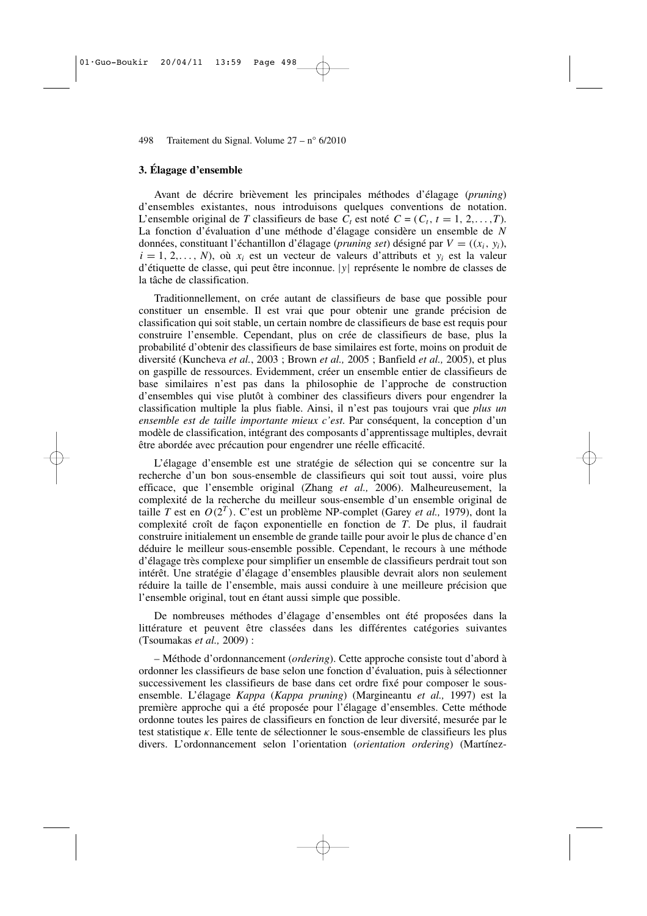#### **3. Élagage d'ensemble**

Avant de décrire brièvement les principales méthodes d'élagage (*pruning*) d'ensembles existantes, nous introduisons quelques conventions de notation. L'ensemble original de *T* classifieurs de base  $C_t$  est noté  $C = (C_t, t = 1, 2, \ldots, T)$ . La fonction d'évaluation d'une méthode d'élagage considère un ensemble de *N* données, constituant l'échantillon d'élagage (*pruning set*) désigné par *V* = ((*xi*, *yi*),  $i = 1, 2, \ldots, N$ , où  $x_i$  est un vecteur de valeurs d'attributs et  $y_i$  est la valeur d'étiquette de classe, qui peut être inconnue. |*y*| représente le nombre de classes de la tâche de classification.

Traditionnellement, on crée autant de classifieurs de base que possible pour constituer un ensemble. Il est vrai que pour obtenir une grande précision de classification qui soit stable, un certain nombre de classifieurs de base est requis pour construire l'ensemble. Cependant, plus on crée de classifieurs de base, plus la probabilité d'obtenir des classifieurs de base similaires est forte, moins on produit de diversité (Kuncheva *et al.*, 2003 ; Brown *et al.,* 2005 ; Banfield *et al.,* 2005), et plus on gaspille de ressources. Evidemment, créer un ensemble entier de classifieurs de base similaires n'est pas dans la philosophie de l'approche de construction d'ensembles qui vise plutôt à combiner des classifieurs divers pour engendrer la classification multiple la plus fiable. Ainsi, il n'est pas toujours vrai que *plus un ensemble est de taille importante mieux c'est*. Par conséquent, la conception d'un modèle de classification, intégrant des composants d'apprentissage multiples, devrait être abordée avec précaution pour engendrer une réelle efficacité.

L'élagage d'ensemble est une stratégie de sélection qui se concentre sur la recherche d'un bon sous-ensemble de classifieurs qui soit tout aussi, voire plus efficace, que l'ensemble original (Zhang *et al.,* 2006). Malheureusement, la complexité de la recherche du meilleur sous-ensemble d'un ensemble original de taille *T* est en *O*(2 *T* ). C'est un problème NP-complet (Garey *et al.,* 1979), dont la complexité croît de façon exponentielle en fonction de *T*. De plus, il faudrait construire initialement un ensemble de grande taille pour avoir le plus de chance d'en déduire le meilleur sous-ensemble possible. Cependant, le recours à une méthode d'élagage très complexe pour simplifier un ensemble de classifieurs perdrait tout son intérêt. Une stratégie d'élagage d'ensembles plausible devrait alors non seulement réduire la taille de l'ensemble, mais aussi conduire à une meilleure précision que l'ensemble original, tout en étant aussi simple que possible.

De nombreuses méthodes d'élagage d'ensembles ont été proposées dans la littérature et peuvent être classées dans les différentes catégories suivantes (Tsoumakas *et al.,* 2009) :

– Méthode d'ordonnancement (*ordering*). Cette approche consiste tout d'abord à ordonner les classifieurs de base selon une fonction d'évaluation, puis à sélectionner successivement les classifieurs de base dans cet ordre fixé pour composer le sousensemble. L'élagage *Kappa* (*Kappa pruning*) (Margineantu *et al.,* 1997) est la première approche qui a été proposée pour l'élagage d'ensembles. Cette méthode ordonne toutes les paires de classifieurs en fonction de leur diversité, mesurée par le test statistique κ. Elle tente de sélectionner le sous-ensemble de classifieurs les plus divers. L'ordonnancement selon l'orientation (*orientation ordering*) (Martínez-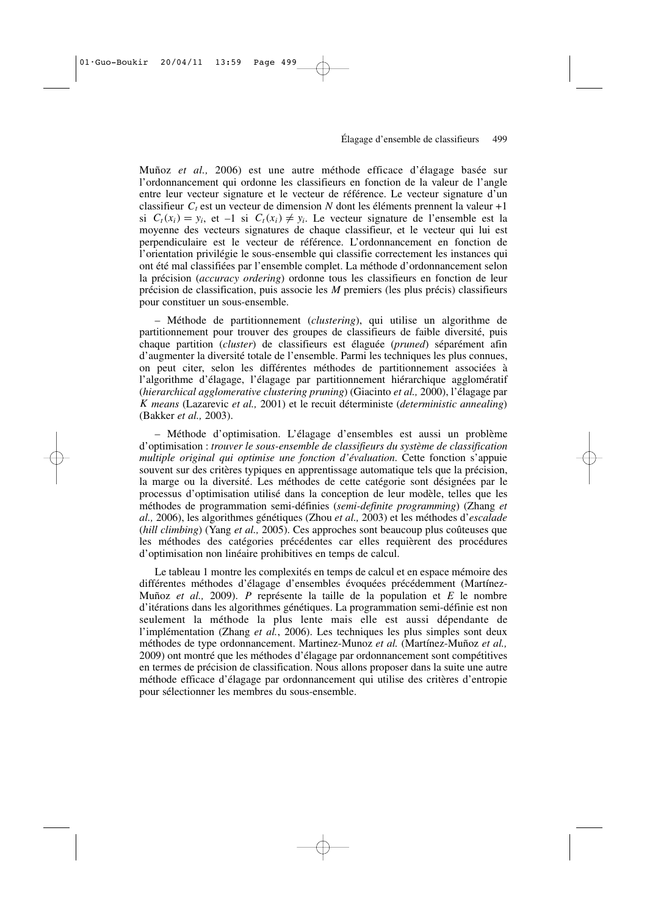Muñoz *et al.,* 2006) est une autre méthode efficace d'élagage basée sur l'ordonnancement qui ordonne les classifieurs en fonction de la valeur de l'angle entre leur vecteur signature et le vecteur de référence. Le vecteur signature d'un classifieur  $C_t$  est un vecteur de dimension N dont les éléments prennent la valeur +1 si  $C_t(x_i) = y_i$ , et  $-1$  si  $C_t(x_i) \neq y_i$ . Le vecteur signature de l'ensemble est la moyenne des vecteurs signatures de chaque classifieur, et le vecteur qui lui est perpendiculaire est le vecteur de référence. L'ordonnancement en fonction de l'orientation privilégie le sous-ensemble qui classifie correctement les instances qui ont été mal classifiées par l'ensemble complet. La méthode d'ordonnancement selon la précision (*accuracy ordering*) ordonne tous les classifieurs en fonction de leur précision de classification, puis associe les *M* premiers (les plus précis) classifieurs pour constituer un sous-ensemble.

– Méthode de partitionnement (*clustering*), qui utilise un algorithme de partitionnement pour trouver des groupes de classifieurs de faible diversité, puis chaque partition (*cluster*) de classifieurs est élaguée (*pruned*) séparément afin d'augmenter la diversité totale de l'ensemble. Parmi les techniques les plus connues, on peut citer, selon les différentes méthodes de partitionnement associées à l'algorithme d'élagage, l'élagage par partitionnement hiérarchique agglomératif (*hierarchical agglomerative clustering pruning*) (Giacinto *et al.,* 2000), l'élagage par *K means* (Lazarevic *et al.,* 2001) et le recuit déterministe (*deterministic annealing*) (Bakker *et al.,* 2003).

– Méthode d'optimisation. L'élagage d'ensembles est aussi un problème d'optimisation : *trouver le sous-ensemble de classifieurs du système de classification multiple original qui optimise une fonction d'évaluation*. Cette fonction s'appuie souvent sur des critères typiques en apprentissage automatique tels que la précision, la marge ou la diversité. Les méthodes de cette catégorie sont désignées par le processus d'optimisation utilisé dans la conception de leur modèle, telles que les méthodes de programmation semi-définies (*semi-definite programming*) (Zhang *et al.,* 2006), les algorithmes génétiques (Zhou *et al.,* 2003) et les méthodes d'*escalade* (*hill climbing*) (Yang *et al.,* 2005). Ces approches sont beaucoup plus coûteuses que les méthodes des catégories précédentes car elles requièrent des procédures d'optimisation non linéaire prohibitives en temps de calcul.

Le tableau 1 montre les complexités en temps de calcul et en espace mémoire des différentes méthodes d'élagage d'ensembles évoquées précédemment (Martínez-Muñoz *et al.,* 2009). *P* représente la taille de la population et *E* le nombre d'itérations dans les algorithmes génétiques. La programmation semi-définie est non seulement la méthode la plus lente mais elle est aussi dépendante de l'implémentation (Zhang *et al.*, 2006). Les techniques les plus simples sont deux méthodes de type ordonnancement. Martinez-Munoz *et al.* (Martínez-Muñoz *et al.,* 2009) ont montré que les méthodes d'élagage par ordonnancement sont compétitives en termes de précision de classification. Nous allons proposer dans la suite une autre méthode efficace d'élagage par ordonnancement qui utilise des critères d'entropie pour sélectionner les membres du sous-ensemble.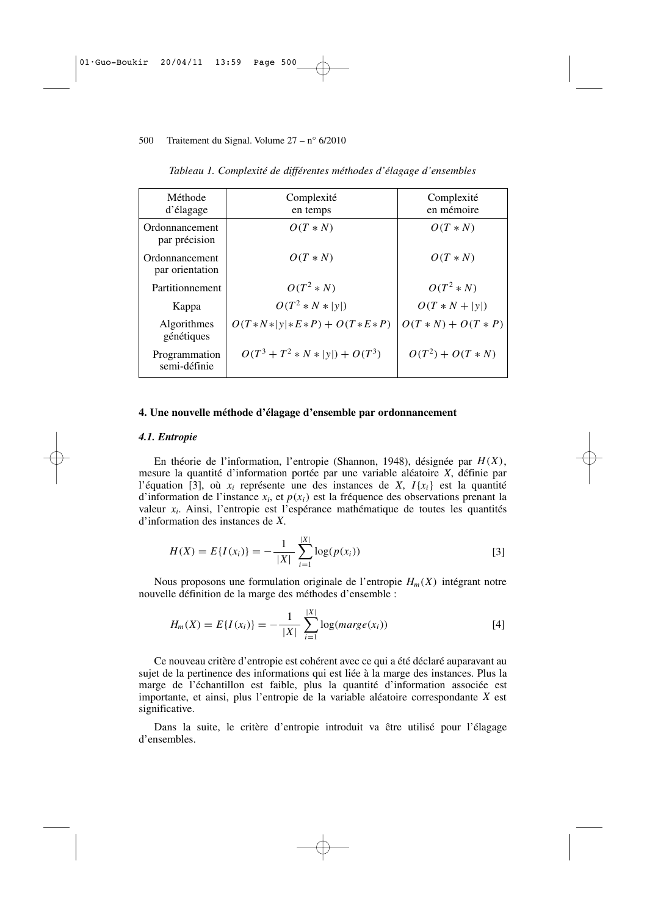| Méthode<br>d'élagage              | Complexité<br>en temps            | Complexité<br>en mémoire |
|-----------------------------------|-----------------------------------|--------------------------|
| Ordonnancement<br>par précision   | $O(T*N)$                          | $O(T*N)$                 |
| Ordonnancement<br>par orientation | $O(T*N)$                          | $O(T*N)$                 |
| Partitionnement                   | $O(T^2*N)$                        | $O(T^2*N)$               |
| Kappa                             | $O(T^2 * N *  y )$                | $O(T*N +  y )$           |
| Algorithmes<br>génétiques         | $O(T*N* y *E*P) + O(T*E*P)$       | $O(T*N) + O(T*P)$        |
| Programmation<br>semi-définie     | $O(T^3 + T^2 * N *  y ) + O(T^3)$ | $O(T^2) + O(T*N)$        |

*Tableau 1. Complexité de différentes méthodes d'élagage d'ensembles*

#### **4. Une nouvelle méthode d'élagage d'ensemble par ordonnancement**

#### *4.1. Entropie*

En théorie de l'information, l'entropie (Shannon, 1948), désignée par *H*(*X*), mesure la quantité d'information portée par une variable aléatoire *X*, définie par l'équation [3], où  $x_i$  représente une des instances de *X*,  $I\{x_i\}$  est la quantité d'information de l'instance *x<sup>i</sup>* , et *p*(*xi*) est la fréquence des observations prenant la valeur *x<sup>i</sup>* . Ainsi, l'entropie est l'espérance mathématique de toutes les quantités d'information des instances de *X*.

$$
H(X) = E\{I(x_i)\} = -\frac{1}{|X|} \sum_{i=1}^{|X|} \log(p(x_i))
$$
\n[3]

Nous proposons une formulation originale de l'entropie  $H_m(X)$  intégrant notre nouvelle définition de la marge des méthodes d'ensemble :

$$
H_m(X) = E\{I(x_i)\} = -\frac{1}{|X|} \sum_{i=1}^{|X|} \log(marge(x_i))
$$
 [4]

Ce nouveau critère d'entropie est cohérent avec ce qui a été déclaré auparavant au sujet de la pertinence des informations qui est liée à la marge des instances. Plus la marge de l'échantillon est faible, plus la quantité d'information associée est importante, et ainsi, plus l'entropie de la variable aléatoire correspondante *X* est significative.

Dans la suite, le critère d'entropie introduit va être utilisé pour l'élagage d'ensembles.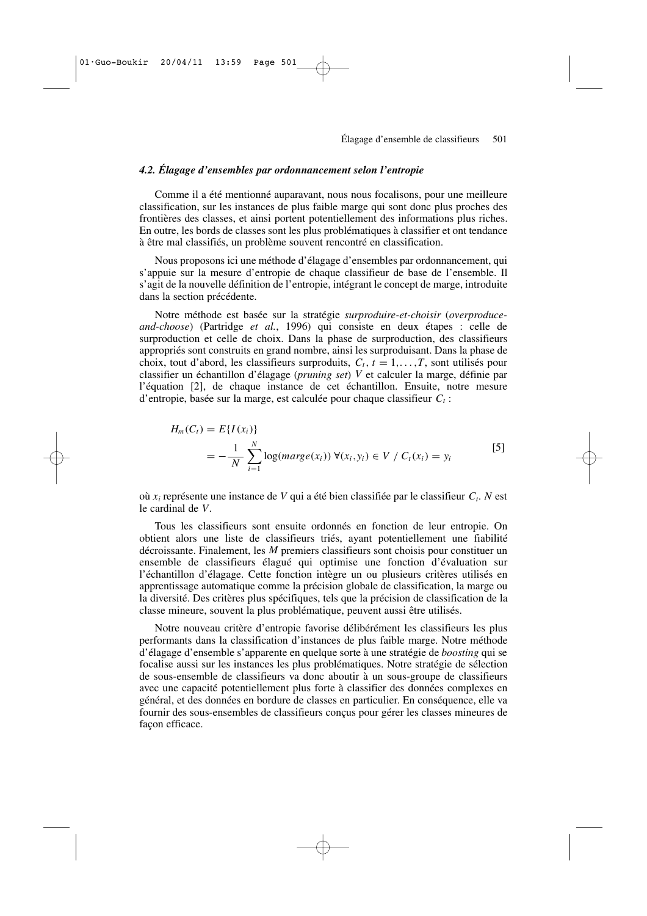# *4.2. Élagage d'ensembles par ordonnancement selon l'entropie*

Comme il a été mentionné auparavant, nous nous focalisons, pour une meilleure classification, sur les instances de plus faible marge qui sont donc plus proches des frontières des classes, et ainsi portent potentiellement des informations plus riches. En outre, les bords de classes sont les plus problématiques à classifier et ont tendance à être mal classifiés, un problème souvent rencontré en classification.

Nous proposons ici une méthode d'élagage d'ensembles par ordonnancement, qui s'appuie sur la mesure d'entropie de chaque classifieur de base de l'ensemble. Il s'agit de la nouvelle définition de l'entropie, intégrant le concept de marge, introduite dans la section précédente.

Notre méthode est basée sur la stratégie *surproduire-et-choisir* (*overproduceand-choose*) (Partridge *et al.*, 1996) qui consiste en deux étapes : celle de surproduction et celle de choix. Dans la phase de surproduction, des classifieurs appropriés sont construits en grand nombre, ainsi les surproduisant. Dans la phase de choix, tout d'abord, les classifieurs surproduits, *Ct*, *t* = 1,. ..,*T*, sont utilisés pour classifier un échantillon d'élagage (*pruning set*) *V* et calculer la marge, définie par l'équation [2], de chaque instance de cet échantillon. Ensuite, notre mesure d'entropie, basée sur la marge, est calculée pour chaque classifieur *C<sup>t</sup>* :

$$
H_m(C_t) = E\{I(x_i)\}\
$$
  
=  $-\frac{1}{N} \sum_{i=1}^{N} \log(marge(x_i)) \ \forall (x_i, y_i) \in V / C_t(x_i) = y_i$  [5]

où *x<sup>i</sup>* représente une instance de *V* qui a été bien classifiée par le classifieur *C<sup>t</sup>* . *N* est le cardinal de *V*.

Tous les classifieurs sont ensuite ordonnés en fonction de leur entropie. On obtient alors une liste de classifieurs triés, ayant potentiellement une fiabilité décroissante. Finalement, les *M* premiers classifieurs sont choisis pour constituer un ensemble de classifieurs élagué qui optimise une fonction d'évaluation sur l'échantillon d'élagage. Cette fonction intègre un ou plusieurs critères utilisés en apprentissage automatique comme la précision globale de classification, la marge ou la diversité. Des critères plus spécifiques, tels que la précision de classification de la classe mineure, souvent la plus problématique, peuvent aussi être utilisés.

Notre nouveau critère d'entropie favorise délibérément les classifieurs les plus performants dans la classification d'instances de plus faible marge. Notre méthode d'élagage d'ensemble s'apparente en quelque sorte à une stratégie de *boosting* qui se focalise aussi sur les instances les plus problématiques. Notre stratégie de sélection de sous-ensemble de classifieurs va donc aboutir à un sous-groupe de classifieurs avec une capacité potentiellement plus forte à classifier des données complexes en général, et des données en bordure de classes en particulier. En conséquence, elle va fournir des sous-ensembles de classifieurs conçus pour gérer les classes mineures de façon efficace.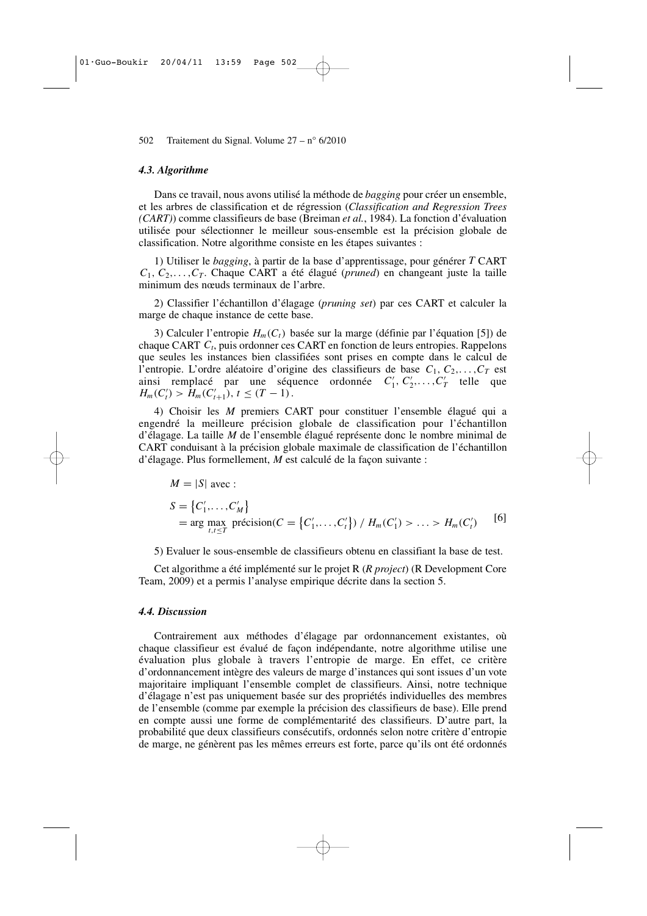#### *4.3. Algorithme*

Dans ce travail, nous avons utilisé la méthode de *bagging* pour créer un ensemble, et les arbres de classification et de régression (*Classification and Regression Trees (CART)*) comme classifieurs de base (Breiman *et al.*, 1984). La fonction d'évaluation utilisée pour sélectionner le meilleur sous-ensemble est la précision globale de classification. Notre algorithme consiste en les étapes suivantes :

1) Utiliser le *bagging*, à partir de la base d'apprentissage, pour générer *T* CART  $C_1, C_2, \ldots, C_T$ . Chaque CART a été élagué (*pruned*) en changeant juste la taille minimum des nœuds terminaux de l'arbre.

2) Classifier l'échantillon d'élagage (*pruning set*) par ces CART et calculer la marge de chaque instance de cette base.

3) Calculer l'entropie *Hm*(*Ct*) basée sur la marge (définie par l'équation [5]) de chaque CART *C<sup>t</sup>* , puis ordonner ces CART en fonction de leurs entropies. Rappelons que seules les instances bien classifiées sont prises en compte dans le calcul de l'entropie. L'ordre aléatoire d'origine des classifieurs de base  $C_1, C_2, \ldots, C_T$  est ainsi remplacé par une séquence ordonnée  $C'_1, C'_2, \ldots, C'_T$  telle que  $H_m(C'_t) > H_m(C'_{t+1}), t \leq (T-1).$ 

4) Choisir les *M* premiers CART pour constituer l'ensemble élagué qui a engendré la meilleure précision globale de classification pour l'échantillon d'élagage. La taille *M* de l'ensemble élagué représente donc le nombre minimal de CART conduisant à la précision globale maximale de classification de l'échantillon d'élagage. Plus formellement, *M* est calculé de la façon suivante :

$$
M = |S| \text{ avec :}
$$
  
\n
$$
S = \{C'_1, \dots, C'_M\}
$$
  
\n
$$
= \arg \max_{t, t \le T} \text{ precision}(C = \{C'_1, \dots, C'_t\}) / H_m(C'_1) > \dots > H_m(C'_t)
$$
 [6]

5) Evaluer le sous-ensemble de classifieurs obtenu en classifiant la base de test.

Cet algorithme a été implémenté sur le projet R (*R project*) (R Development Core Team, 2009) et a permis l'analyse empirique décrite dans la section 5.

#### *4.4. Discussion*

Contrairement aux méthodes d'élagage par ordonnancement existantes, où chaque classifieur est évalué de façon indépendante, notre algorithme utilise une évaluation plus globale à travers l'entropie de marge. En effet, ce critère d'ordonnancement intègre des valeurs de marge d'instances qui sont issues d'un vote majoritaire impliquant l'ensemble complet de classifieurs. Ainsi, notre technique d'élagage n'est pas uniquement basée sur des propriétés individuelles des membres de l'ensemble (comme par exemple la précision des classifieurs de base). Elle prend en compte aussi une forme de complémentarité des classifieurs. D'autre part, la probabilité que deux classifieurs consécutifs, ordonnés selon notre critère d'entropie de marge, ne génèrent pas les mêmes erreurs est forte, parce qu'ils ont été ordonnés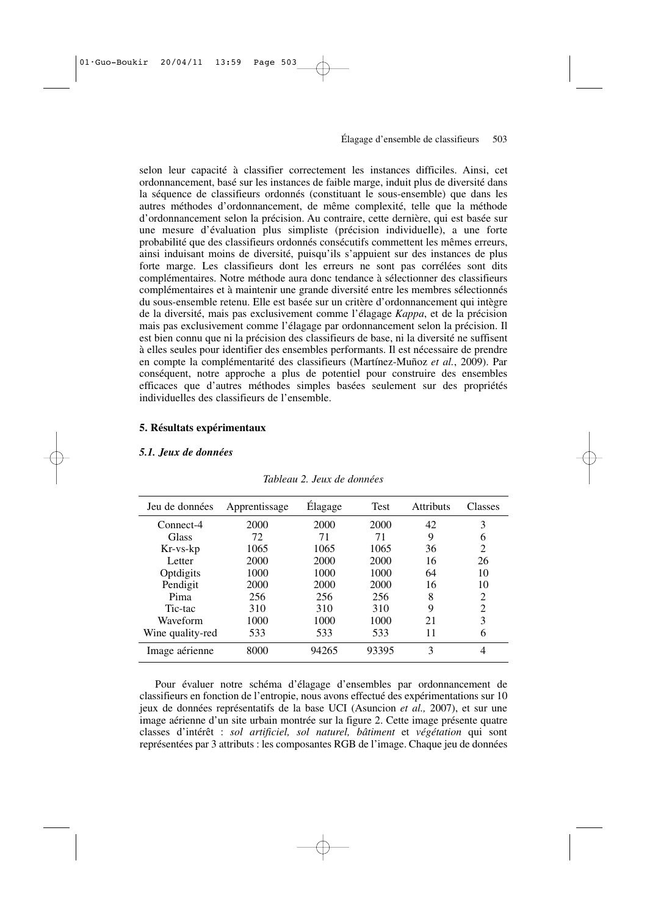selon leur capacité à classifier correctement les instances difficiles. Ainsi, cet ordonnancement, basé sur les instances de faible marge, induit plus de diversité dans la séquence de classifieurs ordonnés (constituant le sous-ensemble) que dans les autres méthodes d'ordonnancement, de même complexité, telle que la méthode d'ordonnancement selon la précision. Au contraire, cette dernière, qui est basée sur une mesure d'évaluation plus simpliste (précision individuelle), a une forte probabilité que des classifieurs ordonnés consécutifs commettent les mêmes erreurs, ainsi induisant moins de diversité, puisqu'ils s'appuient sur des instances de plus forte marge. Les classifieurs dont les erreurs ne sont pas corrélées sont dits complémentaires. Notre méthode aura donc tendance à sélectionner des classifieurs complémentaires et à maintenir une grande diversité entre les membres sélectionnés du sous-ensemble retenu. Elle est basée sur un critère d'ordonnancement qui intègre de la diversité, mais pas exclusivement comme l'élagage *Kappa*, et de la précision mais pas exclusivement comme l'élagage par ordonnancement selon la précision. Il est bien connu que ni la précision des classifieurs de base, ni la diversité ne suffisent à elles seules pour identifier des ensembles performants. Il est nécessaire de prendre en compte la complémentarité des classifieurs (Martínez-Muñoz *et al.*, 2009). Par conséquent, notre approche a plus de potentiel pour construire des ensembles efficaces que d'autres méthodes simples basées seulement sur des propriétés individuelles des classifieurs de l'ensemble.

#### **5. Résultats expérimentaux**

## *5.1. Jeux de données*

| Jeu de données   | Apprentissage | Élagage | <b>Test</b> | <b>Attributs</b> | Classes        |
|------------------|---------------|---------|-------------|------------------|----------------|
| Connect-4        | 2000          | 2000    | 2000        | 42               | 3              |
| Glass            | 72            | 71      | 71          | 9                | 6              |
| Kr-vs-kp         | 1065          | 1065    | 1065        | 36               | 2              |
| Letter           | 2000          | 2000    | 2000        | 16               | 26             |
| Optdigits        | 1000          | 1000    | 1000        | 64               | 10             |
| Pendigit         | 2000          | 2000    | 2000        | 16               | 10             |
| Pima             | 256           | 256     | 256         | 8                | 2              |
| Tic-tac          | 310           | 310     | 310         | 9                | $\overline{c}$ |
| Waveform         | 1000          | 1000    | 1000        | 21               | 3              |
| Wine quality-red | 533           | 533     | 533         | 11               | 6              |
| Image aérienne   | 8000          | 94265   | 93395       | 3                | 4              |

*Tableau 2. Jeux de données*

Pour évaluer notre schéma d'élagage d'ensembles par ordonnancement de classifieurs en fonction de l'entropie, nous avons effectué des expérimentations sur 10 jeux de données représentatifs de la base UCI (Asuncion *et al.,* 2007), et sur une image aérienne d'un site urbain montrée sur la figure 2. Cette image présente quatre classes d'intérêt : *sol artificiel, sol naturel, bâtiment* et *végétation* qui sont représentées par 3 attributs : les composantes RGB de l'image. Chaque jeu de données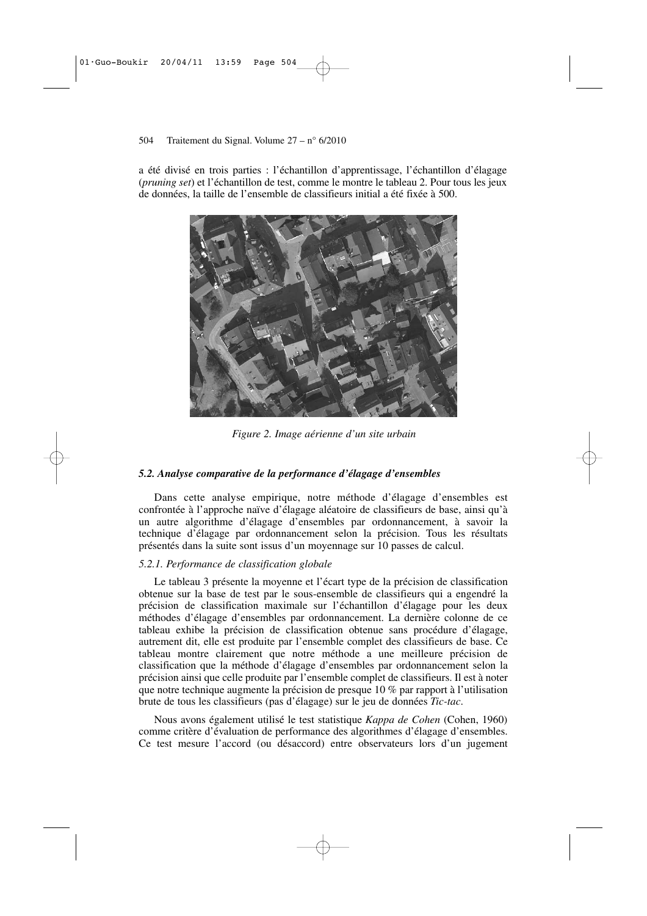a été divisé en trois parties : l'échantillon d'apprentissage, l'échantillon d'élagage (*pruning set*) et l'échantillon de test, comme le montre le tableau 2. Pour tous les jeux de données, la taille de l'ensemble de classifieurs initial a été fixée à 500.



*Figure 2. Image aérienne d'un site urbain*

### *5.2. Analyse comparative de la performance d'élagage d'ensembles*

Dans cette analyse empirique, notre méthode d'élagage d'ensembles est confrontée à l'approche naïve d'élagage aléatoire de classifieurs de base, ainsi qu'à un autre algorithme d'élagage d'ensembles par ordonnancement, à savoir la technique d'élagage par ordonnancement selon la précision. Tous les résultats présentés dans la suite sont issus d'un moyennage sur 10 passes de calcul.

#### *5.2.1. Performance de classification globale*

Le tableau 3 présente la moyenne et l'écart type de la précision de classification obtenue sur la base de test par le sous-ensemble de classifieurs qui a engendré la précision de classification maximale sur l'échantillon d'élagage pour les deux méthodes d'élagage d'ensembles par ordonnancement. La dernière colonne de ce tableau exhibe la précision de classification obtenue sans procédure d'élagage, autrement dit, elle est produite par l'ensemble complet des classifieurs de base. Ce tableau montre clairement que notre méthode a une meilleure précision de classification que la méthode d'élagage d'ensembles par ordonnancement selon la précision ainsi que celle produite par l'ensemble complet de classifieurs. Il est à noter que notre technique augmente la précision de presque 10 % par rapport à l'utilisation brute de tous les classifieurs (pas d'élagage) sur le jeu de données *Tic-tac*.

Nous avons également utilisé le test statistique *Kappa de Cohen* (Cohen, 1960) comme critère d'évaluation de performance des algorithmes d'élagage d'ensembles. Ce test mesure l'accord (ou désaccord) entre observateurs lors d'un jugement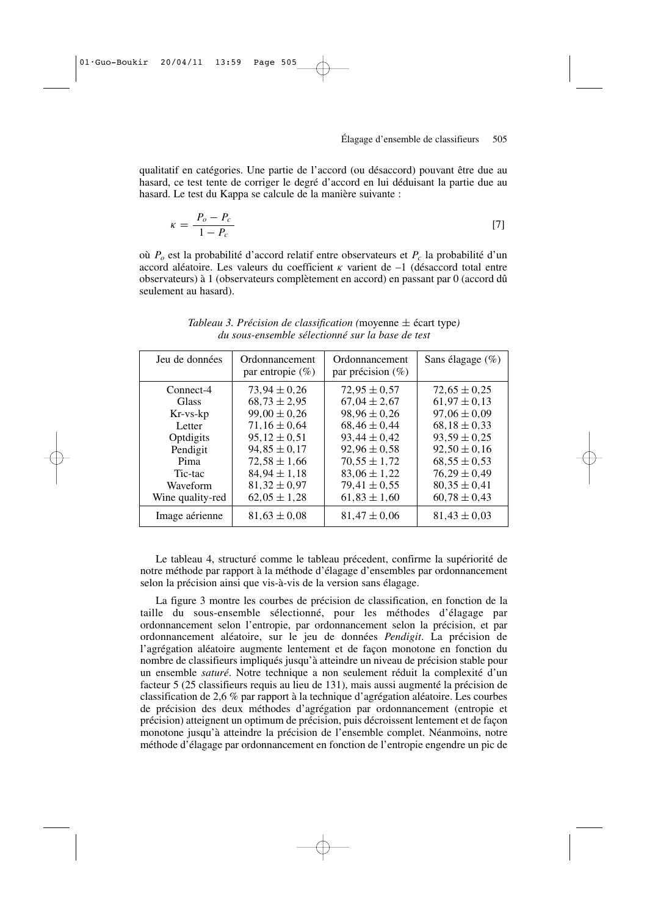qualitatif en catégories. Une partie de l'accord (ou désaccord) pouvant être due au hasard, ce test tente de corriger le degré d'accord en lui déduisant la partie due au hasard. Le test du Kappa se calcule de la manière suivante :

$$
\kappa = \frac{P_o - P_c}{1 - P_c} \tag{7}
$$

où *P<sup>o</sup>* est la probabilité d'accord relatif entre observateurs et *P<sup>c</sup>* la probabilité d'un accord aléatoire. Les valeurs du coefficient  $\kappa$  varient de  $-1$  (désaccord total entre observateurs) à 1 (observateurs complètement en accord) en passant par 0 (accord dû seulement au hasard).

| Jeu de données                                                                                         | Ordonnancement<br>par entropie $(\% )$                                                                                                                                           | Ordonnancement<br>par précision $(\%)$                                                                                                                                           | Sans élagage (%)                                                                                                                                                                 |
|--------------------------------------------------------------------------------------------------------|----------------------------------------------------------------------------------------------------------------------------------------------------------------------------------|----------------------------------------------------------------------------------------------------------------------------------------------------------------------------------|----------------------------------------------------------------------------------------------------------------------------------------------------------------------------------|
| Connect-4<br>Glass<br>$Kr$ -vs- $kp$<br>Letter<br>Optdigits<br>Pendigit<br>Pima<br>Tic-tac<br>Waveform | $73.94 \pm 0.26$<br>$68,73 \pm 2,95$<br>$99,00 \pm 0,26$<br>$71,16 \pm 0.64$<br>$95,12 \pm 0,51$<br>$94,85 \pm 0,17$<br>$72,58 \pm 1,66$<br>$84,94 \pm 1,18$<br>$81,32 \pm 0.97$ | $72.95 \pm 0.57$<br>$67,04 \pm 2,67$<br>$98,96 \pm 0,26$<br>$68,46 \pm 0,44$<br>$93,44 \pm 0,42$<br>$92,96 \pm 0,58$<br>$70,55 \pm 1,72$<br>$83,06 \pm 1,22$<br>$79,41 \pm 0,55$ | $72.65 \pm 0.25$<br>$61,97 \pm 0,13$<br>$97,06 \pm 0.09$<br>$68,18 \pm 0,33$<br>$93,59 \pm 0.25$<br>$92,50 \pm 0,16$<br>$68,55 \pm 0.53$<br>$76,29 \pm 0,49$<br>$80,35 \pm 0,41$ |
| Wine quality-red                                                                                       | $62,05 \pm 1,28$                                                                                                                                                                 | $61,83 \pm 1,60$                                                                                                                                                                 | $60,78 \pm 0,43$                                                                                                                                                                 |
| Image aérienne                                                                                         | $81,63 \pm 0,08$                                                                                                                                                                 | $81,47 \pm 0,06$                                                                                                                                                                 | $81,43 \pm 0,03$                                                                                                                                                                 |

*Tableau 3. Précision de classification (*moyenne ± écart type*) du sous-ensemble sélectionné sur la base de test*

Le tableau 4, structuré comme le tableau précedent, confirme la supériorité de notre méthode par rapport à la méthode d'élagage d'ensembles par ordonnancement selon la précision ainsi que vis-à-vis de la version sans élagage.

La figure 3 montre les courbes de précision de classification, en fonction de la taille du sous-ensemble sélectionné, pour les méthodes d'élagage par ordonnancement selon l'entropie, par ordonnancement selon la précision, et par ordonnancement aléatoire, sur le jeu de données *Pendigit*. La précision de l'agrégation aléatoire augmente lentement et de façon monotone en fonction du nombre de classifieurs impliqués jusqu'à atteindre un niveau de précision stable pour un ensemble *saturé*. Notre technique a non seulement réduit la complexité d'un facteur 5 (25 classifieurs requis au lieu de 131), mais aussi augmenté la précision de classification de 2,6 % par rapport à la technique d'agrégation aléatoire. Les courbes de précision des deux méthodes d'agrégation par ordonnancement (entropie et précision) atteignent un optimum de précision, puis décroissent lentement et de façon monotone jusqu'à atteindre la précision de l'ensemble complet. Néanmoins, notre méthode d'élagage par ordonnancement en fonction de l'entropie engendre un pic de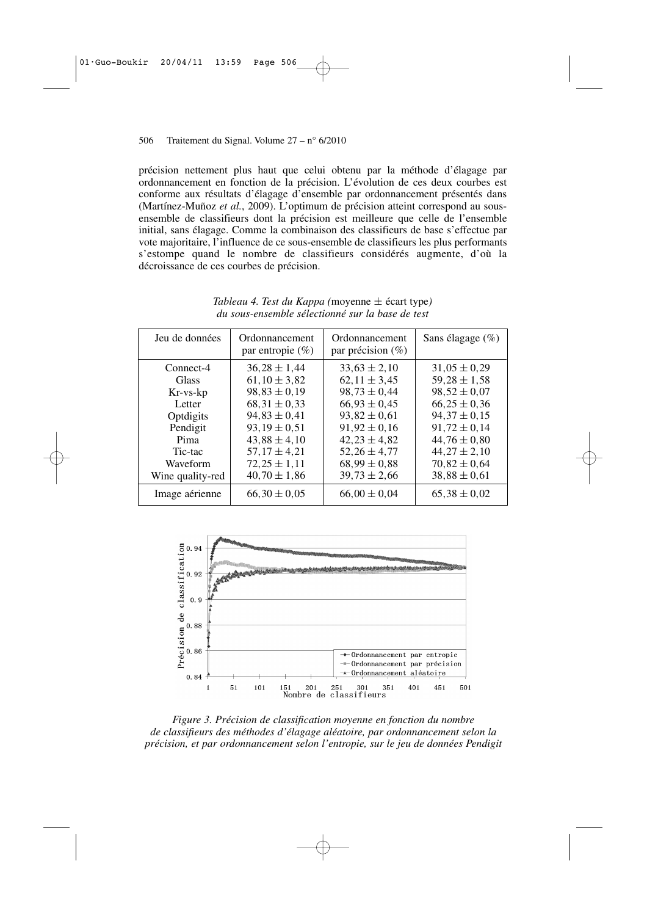précision nettement plus haut que celui obtenu par la méthode d'élagage par ordonnancement en fonction de la précision. L'évolution de ces deux courbes est conforme aux résultats d'élagage d'ensemble par ordonnancement présentés dans (Martínez-Muñoz *et al.*, 2009). L'optimum de précision atteint correspond au sousensemble de classifieurs dont la précision est meilleure que celle de l'ensemble initial, sans élagage. Comme la combinaison des classifieurs de base s'effectue par vote majoritaire, l'influence de ce sous-ensemble de classifieurs les plus performants s'estompe quand le nombre de classifieurs considérés augmente, d'où la décroissance de ces courbes de précision.

| Jeu de données                                                                                                              | Ordonnancement<br>par entropie $(\% )$                                                                                                                                                               | Ordonnancement<br>par précision $(\%)$                                                                                                                                                               | Sans élagage (%)                                                                                                                                                                                     |
|-----------------------------------------------------------------------------------------------------------------------------|------------------------------------------------------------------------------------------------------------------------------------------------------------------------------------------------------|------------------------------------------------------------------------------------------------------------------------------------------------------------------------------------------------------|------------------------------------------------------------------------------------------------------------------------------------------------------------------------------------------------------|
| Connect-4<br><b>Glass</b><br>Kr-vs-kp<br>Letter<br>Optdigits<br>Pendigit<br>Pima<br>Tic-tac<br>Waveform<br>Wine quality-red | $36.28 \pm 1.44$<br>$61,10 \pm 3,82$<br>$98,83 \pm 0,19$<br>$68.31 \pm 0.33$<br>$94,83 \pm 0,41$<br>$93.19 \pm 0.51$<br>$43,88 \pm 4,10$<br>$57,17 \pm 4,21$<br>$72.25 \pm 1.11$<br>$40,70 \pm 1,86$ | $33.63 \pm 2.10$<br>$62,11 \pm 3,45$<br>$98,73 \pm 0,44$<br>$66,93 \pm 0.45$<br>$93,82 \pm 0,61$<br>$91,92 \pm 0,16$<br>$42,23 \pm 4,82$<br>$52,26 \pm 4,77$<br>$68,99 \pm 0.88$<br>$39,73 \pm 2,66$ | $31,05 \pm 0.29$<br>$59,28 \pm 1,58$<br>$98,52 \pm 0.07$<br>$66,25 \pm 0,36$<br>$94,37 \pm 0.15$<br>$91,72 \pm 0,14$<br>$44,76 \pm 0.80$<br>$44,27 \pm 2,10$<br>$70.82 \pm 0.64$<br>$38,88 \pm 0,61$ |
| Image aérienne                                                                                                              | $66,30 \pm 0.05$                                                                                                                                                                                     | $66,00 \pm 0.04$                                                                                                                                                                                     | $65,38 \pm 0.02$                                                                                                                                                                                     |

*Tableau 4. Test du Kappa (*moyenne ± écart type*) du sous-ensemble sélectionné sur la base de test*



*Figure 3. Précision de classification moyenne en fonction du nombre de classifieurs des méthodes d'élagage aléatoire, par ordonnancement selon la précision, et par ordonnancement selon l'entropie, sur le jeu de données Pendigit*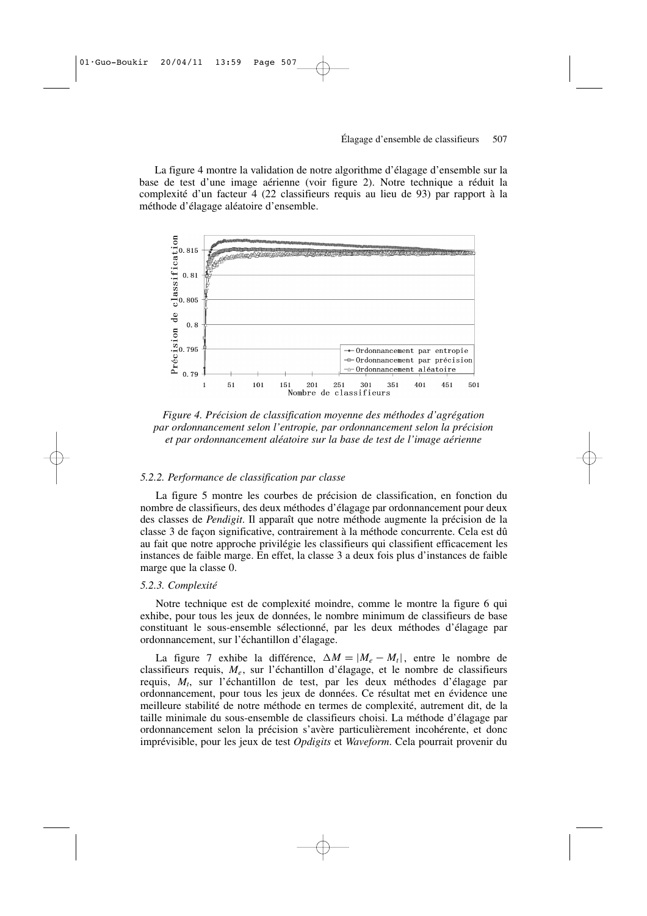La figure 4 montre la validation de notre algorithme d'élagage d'ensemble sur la base de test d'une image aérienne (voir figure 2). Notre technique a réduit la complexité d'un facteur 4 (22 classifieurs requis au lieu de 93) par rapport à la méthode d'élagage aléatoire d'ensemble.



*Figure 4. Précision de classification moyenne des méthodes d'agrégation par ordonnancement selon l'entropie, par ordonnancement selon la précision et par ordonnancement aléatoire sur la base de test de l'image aérienne*

#### *5.2.2. Performance de classification par classe*

La figure 5 montre les courbes de précision de classification, en fonction du nombre de classifieurs, des deux méthodes d'élagage par ordonnancement pour deux des classes de *Pendigit*. Il apparaît que notre méthode augmente la précision de la classe 3 de façon significative, contrairement à la méthode concurrente. Cela est dû au fait que notre approche privilégie les classifieurs qui classifient efficacement les instances de faible marge. En effet, la classe 3 a deux fois plus d'instances de faible marge que la classe 0.

#### *5.2.3. Complexité*

Notre technique est de complexité moindre, comme le montre la figure 6 qui exhibe, pour tous les jeux de données, le nombre minimum de classifieurs de base constituant le sous-ensemble sélectionné, par les deux méthodes d'élagage par ordonnancement, sur l'échantillon d'élagage.

La figure 7 exhibe la différence,  $\Delta M = |M_e - M_t|$ , entre le nombre de classifieurs requis, *M<sup>e</sup>* , sur l'échantillon d'élagage, et le nombre de classifieurs requis, *M<sup>t</sup>* , sur l'échantillon de test, par les deux méthodes d'élagage par ordonnancement, pour tous les jeux de données. Ce résultat met en évidence une meilleure stabilité de notre méthode en termes de complexité, autrement dit, de la taille minimale du sous-ensemble de classifieurs choisi. La méthode d'élagage par ordonnancement selon la précision s'avère particulièrement incohérente, et donc imprévisible, pour les jeux de test *Opdigits* et *Waveform*. Cela pourrait provenir du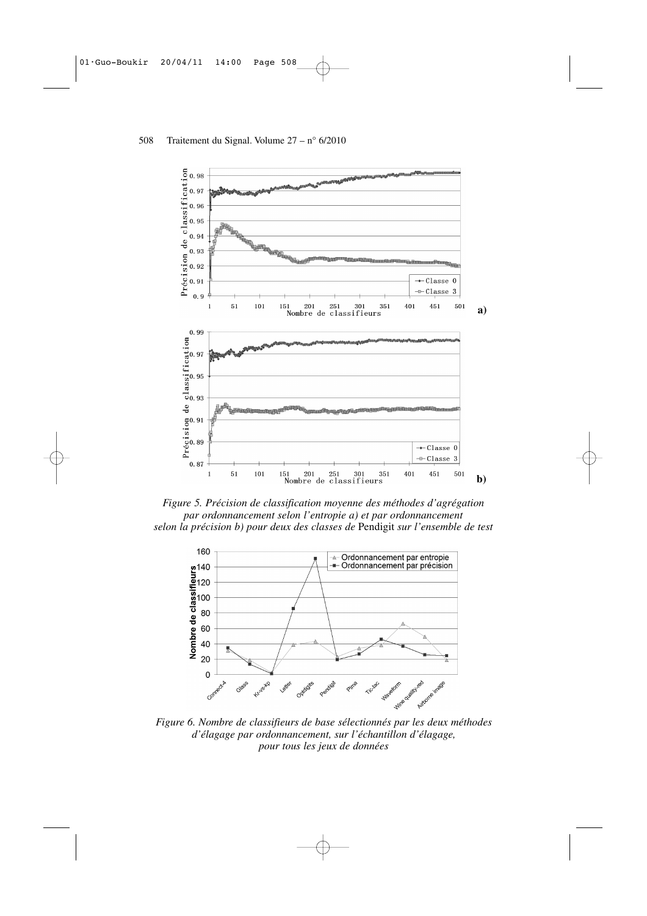

*Figure 5. Précision de classification moyenne des méthodes d'agrégation par ordonnancement selon l'entropie a) et par ordonnancement selon la précision b) pour deux des classes de* Pendigit *sur l'ensemble de test*



*Figure 6. Nombre de classifieurs de base sélectionnés par les deux méthodes d'élagage par ordonnancement, sur l'échantillon d'élagage, pour tous les jeux de données*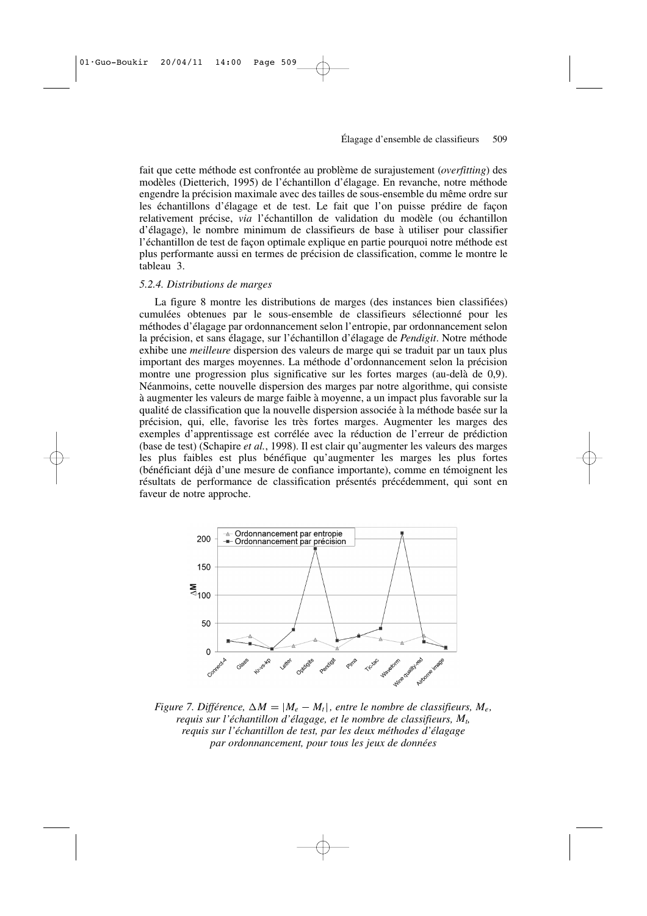fait que cette méthode est confrontée au problème de surajustement (*overfitting*) des modèles (Dietterich, 1995) de l'échantillon d'élagage. En revanche, notre méthode engendre la précision maximale avec des tailles de sous-ensemble du même ordre sur les échantillons d'élagage et de test. Le fait que l'on puisse prédire de façon relativement précise, *via* l'échantillon de validation du modèle (ou échantillon d'élagage), le nombre minimum de classifieurs de base à utiliser pour classifier l'échantillon de test de façon optimale explique en partie pourquoi notre méthode est plus performante aussi en termes de précision de classification, comme le montre le tableau 3.

#### *5.2.4. Distributions de marges*

La figure 8 montre les distributions de marges (des instances bien classifiées) cumulées obtenues par le sous-ensemble de classifieurs sélectionné pour les méthodes d'élagage par ordonnancement selon l'entropie, par ordonnancement selon la précision, et sans élagage, sur l'échantillon d'élagage de *Pendigit*. Notre méthode exhibe une *meilleure* dispersion des valeurs de marge qui se traduit par un taux plus important des marges moyennes. La méthode d'ordonnancement selon la précision montre une progression plus significative sur les fortes marges (au-delà de 0,9). Néanmoins, cette nouvelle dispersion des marges par notre algorithme, qui consiste à augmenter les valeurs de marge faible à moyenne, a un impact plus favorable sur la qualité de classification que la nouvelle dispersion associée à la méthode basée sur la précision, qui, elle, favorise les très fortes marges. Augmenter les marges des exemples d'apprentissage est corrélée avec la réduction de l'erreur de prédiction (base de test) (Schapire *et al.*, 1998). Il est clair qu'augmenter les valeurs des marges les plus faibles est plus bénéfique qu'augmenter les marges les plus fortes (bénéficiant déjà d'une mesure de confiance importante), comme en témoignent les résultats de performance de classification présentés précédemment, qui sont en faveur de notre approche.



*Figure 7. Différence,*  $\Delta M = |M_e - M_t|$ , entre le nombre de classifieurs,  $M_e$ , *requis sur l'échantillon d'élagage, et le nombre de classifieurs, M<sup>t</sup> , requis sur l'échantillon de test, par les deux méthodes d'élagage par ordonnancement, pour tous les jeux de données*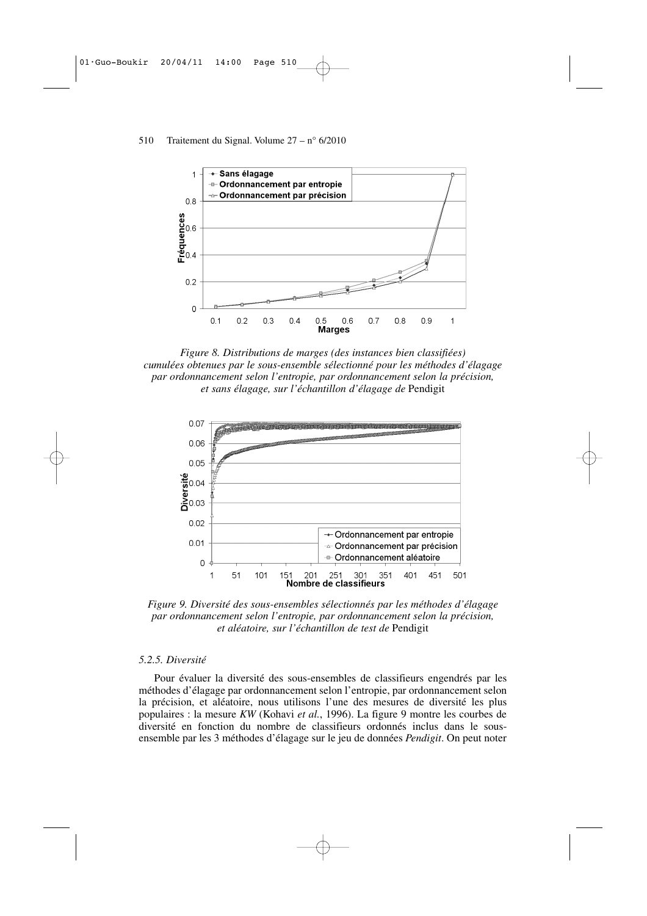

*Figure 8. Distributions de marges (des instances bien classifiées) cumulées obtenues par le sous-ensemble sélectionné pour les méthodes d'élagage par ordonnancement selon l'entropie, par ordonnancement selon la précision, et sans élagage, sur l'échantillon d'élagage de* Pendigit



*Figure 9. Diversité des sous-ensembles sélectionnés par les méthodes d'élagage par ordonnancement selon l'entropie, par ordonnancement selon la précision, et aléatoire, sur l'échantillon de test de* Pendigit

#### *5.2.5. Diversité*

Pour évaluer la diversité des sous-ensembles de classifieurs engendrés par les méthodes d'élagage par ordonnancement selon l'entropie, par ordonnancement selon la précision, et aléatoire, nous utilisons l'une des mesures de diversité les plus populaires : la mesure *KW* (Kohavi *et al.*, 1996). La figure 9 montre les courbes de diversité en fonction du nombre de classifieurs ordonnés inclus dans le sousensemble par les 3 méthodes d'élagage sur le jeu de données *Pendigit*. On peut noter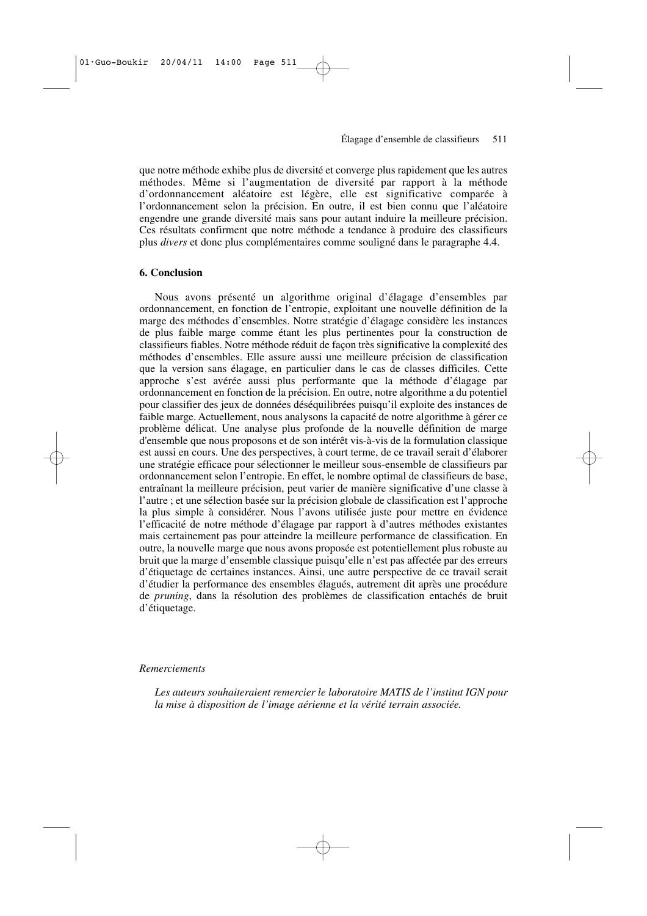que notre méthode exhibe plus de diversité et converge plus rapidement que les autres méthodes. Même si l'augmentation de diversité par rapport à la méthode d'ordonnancement aléatoire est légère, elle est significative comparée à l'ordonnancement selon la précision. En outre, il est bien connu que l'aléatoire engendre une grande diversité mais sans pour autant induire la meilleure précision. Ces résultats confirment que notre méthode a tendance à produire des classifieurs plus *divers* et donc plus complémentaires comme souligné dans le paragraphe 4.4.

### **6. Conclusion**

Nous avons présenté un algorithme original d'élagage d'ensembles par ordonnancement, en fonction de l'entropie, exploitant une nouvelle définition de la marge des méthodes d'ensembles. Notre stratégie d'élagage considère les instances de plus faible marge comme étant les plus pertinentes pour la construction de classifieurs fiables. Notre méthode réduit de façon très significative la complexité des méthodes d'ensembles. Elle assure aussi une meilleure précision de classification que la version sans élagage, en particulier dans le cas de classes difficiles. Cette approche s'est avérée aussi plus performante que la méthode d'élagage par ordonnancement en fonction de la précision. En outre, notre algorithme a du potentiel pour classifier des jeux de données déséquilibrées puisqu'il exploite des instances de faible marge. Actuellement, nous analysons la capacité de notre algorithme à gérer ce problème délicat. Une analyse plus profonde de la nouvelle définition de marge d'ensemble que nous proposons et de son intérêt vis-à-vis de la formulation classique est aussi en cours. Une des perspectives, à court terme, de ce travail serait d'élaborer une stratégie efficace pour sélectionner le meilleur sous-ensemble de classifieurs par ordonnancement selon l'entropie. En effet, le nombre optimal de classifieurs de base, entraînant la meilleure précision, peut varier de manière significative d'une classe à l'autre ; et une sélection basée sur la précision globale de classification est l'approche la plus simple à considérer. Nous l'avons utilisée juste pour mettre en évidence l'efficacité de notre méthode d'élagage par rapport à d'autres méthodes existantes mais certainement pas pour atteindre la meilleure performance de classification. En outre, la nouvelle marge que nous avons proposée est potentiellement plus robuste au bruit que la marge d'ensemble classique puisqu'elle n'est pas affectée par des erreurs d'étiquetage de certaines instances. Ainsi, une autre perspective de ce travail serait d'étudier la performance des ensembles élagués, autrement dit après une procédure de *pruning*, dans la résolution des problèmes de classification entachés de bruit d'étiquetage.

#### *Remerciements*

*Les auteurs souhaiteraient remercier le laboratoire MATIS de l'institut IGN pour la mise à disposition de l'image aérienne et la vérité terrain associée.*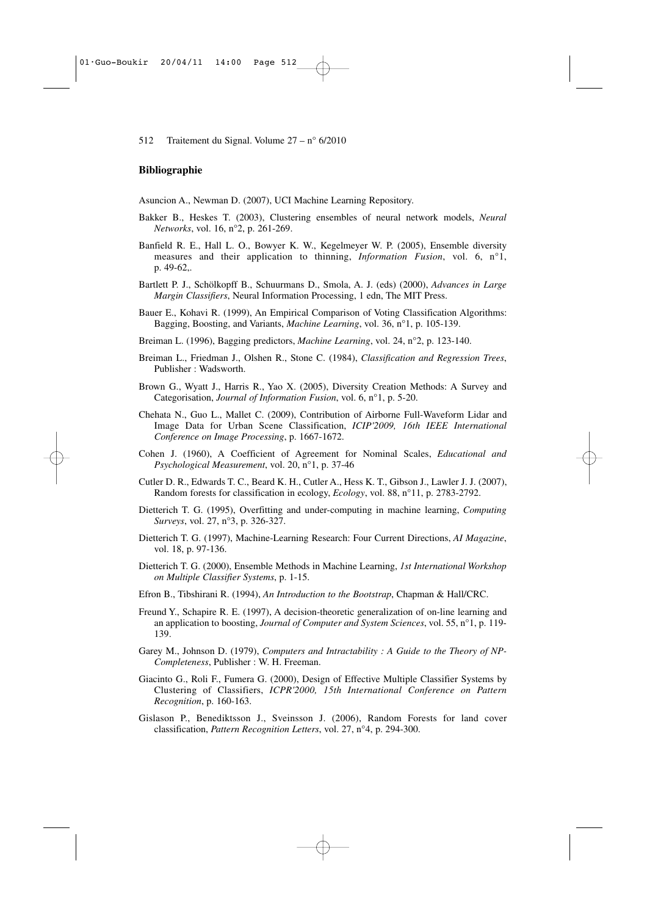#### **Bibliographie**

Asuncion A., Newman D. (2007), UCI Machine Learning Repository.

- Bakker B., Heskes T. (2003), Clustering ensembles of neural network models, *Neural Networks*, vol. 16, n°2, p. 261-269.
- Banfield R. E., Hall L. O., Bowyer K. W., Kegelmeyer W. P. (2005), Ensemble diversity measures and their application to thinning, *Information Fusion*, vol. 6, n°1, p. 49-62,.
- Bartlett P. J., Schölkopff B., Schuurmans D., Smola, A. J. (eds) (2000), *Advances in Large Margin Classifiers*, Neural Information Processing, 1 edn, The MIT Press.
- Bauer E., Kohavi R. (1999), An Empirical Comparison of Voting Classification Algorithms: Bagging, Boosting, and Variants, *Machine Learning*, vol. 36, n°1, p. 105-139.
- Breiman L. (1996), Bagging predictors, *Machine Learning*, vol. 24, n°2, p. 123-140.
- Breiman L., Friedman J., Olshen R., Stone C. (1984), *Classification and Regression Trees*, Publisher : Wadsworth.
- Brown G., Wyatt J., Harris R., Yao X. (2005), Diversity Creation Methods: A Survey and Categorisation, *Journal of Information Fusion*, vol. 6, n°1, p. 5-20.
- Chehata N., Guo L., Mallet C. (2009), Contribution of Airborne Full-Waveform Lidar and Image Data for Urban Scene Classification, *ICIP'2009, 16th IEEE International Conference on Image Processing*, p. 1667-1672.
- Cohen J. (1960), A Coefficient of Agreement for Nominal Scales, *Educational and Psychological Measurement*, vol. 20, n°1, p. 37-46
- Cutler D. R., Edwards T. C., Beard K. H., Cutler A., Hess K. T., Gibson J., Lawler J. J. (2007), Random forests for classification in ecology, *Ecology*, vol. 88, n°11, p. 2783-2792.
- Dietterich T. G. (1995), Overfitting and under-computing in machine learning, *Computing Surveys*, vol. 27, n°3, p. 326-327.
- Dietterich T. G. (1997), Machine-Learning Research: Four Current Directions, *AI Magazine*, vol. 18, p. 97-136.
- Dietterich T. G. (2000), Ensemble Methods in Machine Learning, *1st International Workshop on Multiple Classifier Systems*, p. 1-15.
- Efron B., Tibshirani R. (1994), *An Introduction to the Bootstrap*, Chapman & Hall/CRC.
- Freund Y., Schapire R. E. (1997), A decision-theoretic generalization of on-line learning and an application to boosting, *Journal of Computer and System Sciences*, vol. 55, n°1, p. 119- 139.
- Garey M., Johnson D. (1979), *Computers and Intractability : A Guide to the Theory of NP-Completeness*, Publisher : W. H. Freeman.
- Giacinto G., Roli F., Fumera G. (2000), Design of Effective Multiple Classifier Systems by Clustering of Classifiers, *ICPR'2000, 15th International Conference on Pattern Recognition*, p. 160-163.
- Gislason P., Benediktsson J., Sveinsson J. (2006), Random Forests for land cover classification, *Pattern Recognition Letters*, vol. 27, n°4, p. 294-300.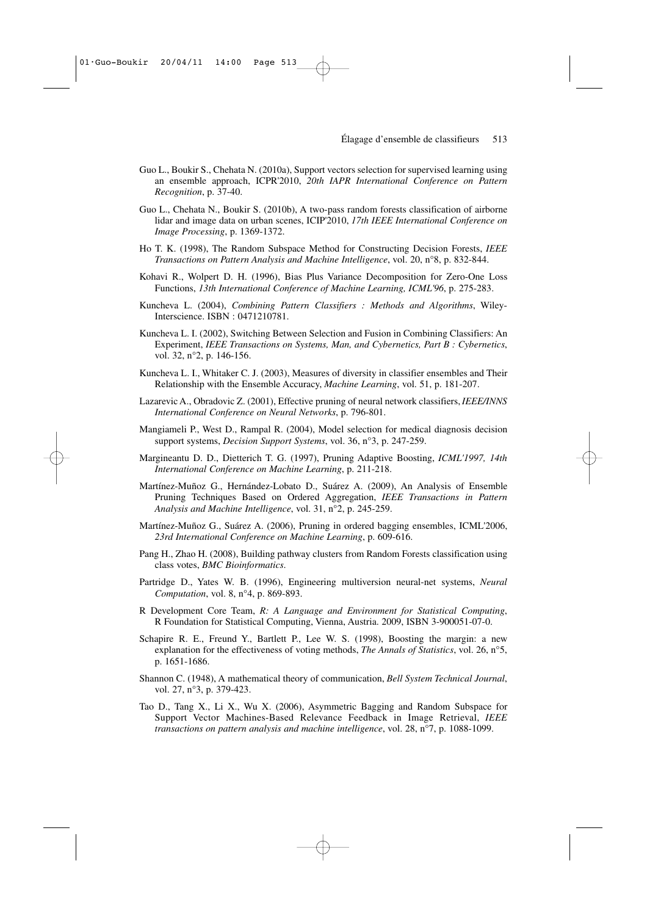- Guo L., Boukir S., Chehata N. (2010a), Support vectors selection for supervised learning using an ensemble approach, ICPR'2010, *20th IAPR International Conference on Pattern Recognition*, p. 37-40.
- Guo L., Chehata N., Boukir S. (2010b), A two-pass random forests classification of airborne lidar and image data on urban scenes, ICIP'2010, *17th IEEE International Conference on Image Processing*, p. 1369-1372.
- Ho T. K. (1998), The Random Subspace Method for Constructing Decision Forests, *IEEE Transactions on Pattern Analysis and Machine Intelligence*, vol. 20, n°8, p. 832-844.
- Kohavi R., Wolpert D. H. (1996), Bias Plus Variance Decomposition for Zero-One Loss Functions, *13th International Conference of Machine Learning, ICML'96*, p. 275-283.
- Kuncheva L. (2004), *Combining Pattern Classifiers : Methods and Algorithms*, Wiley-Interscience. ISBN : 0471210781.
- Kuncheva L. I. (2002), Switching Between Selection and Fusion in Combining Classifiers: An Experiment, *IEEE Transactions on Systems, Man, and Cybernetics, Part B : Cybernetics*, vol. 32, n°2, p. 146-156.
- Kuncheva L. I., Whitaker C. J. (2003), Measures of diversity in classifier ensembles and Their Relationship with the Ensemble Accuracy, *Machine Learning*, vol. 51, p. 181-207.
- Lazarevic A., Obradovic Z. (2001), Effective pruning of neural network classifiers,*IEEE/INNS International Conference on Neural Networks*, p. 796-801.
- Mangiameli P., West D., Rampal R. (2004), Model selection for medical diagnosis decision support systems, *Decision Support Systems*, vol. 36, n°3, p. 247-259.
- Margineantu D. D., Dietterich T. G. (1997), Pruning Adaptive Boosting, *ICML'1997, 14th International Conference on Machine Learning*, p. 211-218.
- Martínez-Muñoz G., Hernández-Lobato D., Suárez A. (2009), An Analysis of Ensemble Pruning Techniques Based on Ordered Aggregation, *IEEE Transactions in Pattern Analysis and Machine Intelligence*, vol. 31, n°2, p. 245-259.
- Martínez-Muñoz G., Suárez A. (2006), Pruning in ordered bagging ensembles, ICML'2006, *23rd International Conference on Machine Learning*, p. 609-616.
- Pang H., Zhao H. (2008), Building pathway clusters from Random Forests classification using class votes, *BMC Bioinformatics*.
- Partridge D., Yates W. B. (1996), Engineering multiversion neural-net systems, *Neural Computation*, vol. 8, n°4, p. 869-893.
- R Development Core Team, *R: A Language and Environment for Statistical Computing*, R Foundation for Statistical Computing, Vienna, Austria. 2009, ISBN 3-900051-07-0.
- Schapire R. E., Freund Y., Bartlett P., Lee W. S. (1998), Boosting the margin: a new explanation for the effectiveness of voting methods, *The Annals of Statistics*, vol. 26, n°5, p. 1651-1686.
- Shannon C. (1948), A mathematical theory of communication, *Bell System Technical Journal*, vol. 27, n°3, p. 379-423.
- Tao D., Tang X., Li X., Wu X. (2006), Asymmetric Bagging and Random Subspace for Support Vector Machines-Based Relevance Feedback in Image Retrieval, *IEEE transactions on pattern analysis and machine intelligence*, vol. 28, n°7, p. 1088-1099.